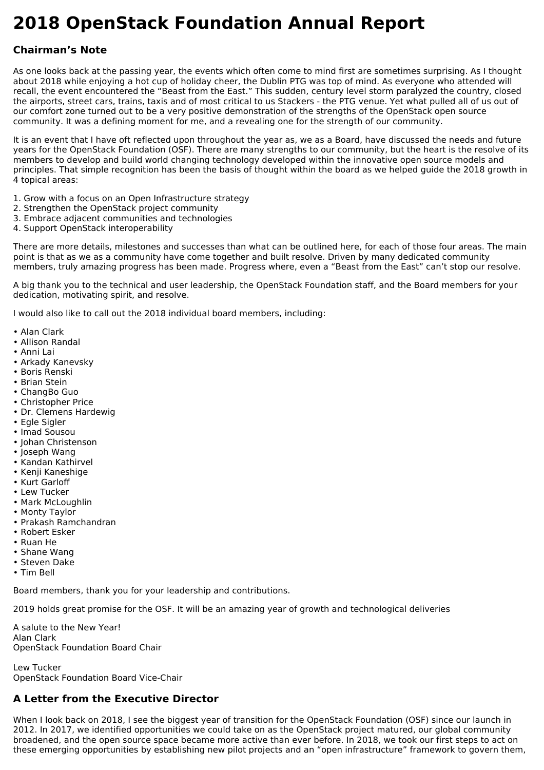# **2018 OpenStack Foundation Annual Report**

# **Chairman's Note**

As one looks back at the passing year, the events which often come to mind first are sometimes surprising. As I thought about 2018 while enjoying a hot cup of holiday cheer, the Dublin PTG was top of mind. As everyone who attended will recall, the event encountered the "Beast from the East." This sudden, century level storm paralyzed the country, closed the airports, street cars, trains, taxis and of most critical to us Stackers - the PTG venue. Yet what pulled all of us out of our comfort zone turned out to be a very positive demonstration of the strengths of the OpenStack open source community. It was a defining moment for me, and a revealing one for the strength of our community.

It is an event that I have oft reflected upon throughout the year as, we as a Board, have discussed the needs and future years for the OpenStack Foundation (OSF). There are many strengths to our community, but the heart is the resolve of its members to develop and build world changing technology developed within the innovative open source models and principles. That simple recognition has been the basis of thought within the board as we helped guide the 2018 growth in 4 topical areas:

- 1. Grow with a focus on an Open Infrastructure strategy
- 2. Strengthen the OpenStack project community
- 3. Embrace adjacent communities and technologies
- 4. Support OpenStack interoperability

There are more details, milestones and successes than what can be outlined here, for each of those four areas. The main point is that as we as a community have come together and built resolve. Driven by many dedicated community members, truly amazing progress has been made. Progress where, even a "Beast from the East" can't stop our resolve.

A big thank you to the technical and user leadership, the OpenStack Foundation staff, and the Board members for your dedication, motivating spirit, and resolve.

I would also like to call out the 2018 individual board members, including:

- Alan Clark
- Allison Randal
- Anni Lai
- Arkady Kanevsky
- Boris Renski
- Brian Stein
- ChangBo Guo
- Christopher Price
- Dr. Clemens Hardewig
- Egle Sigler
- Imad Sousou
- Johan Christenson
- Joseph Wang
- Kandan Kathirvel • Kenji Kaneshige
- Kurt Garloff
- Lew Tucker
- Mark McLoughlin
- Monty Taylor
- Prakash Ramchandran
- Robert Esker
- Ruan He
- Shane Wang
- Steven Dake
- Tim Bell

Board members, thank you for your leadership and contributions.

2019 holds great promise for the OSF. It will be an amazing year of growth and technological deliveries

A salute to the New Year! Alan Clark OpenStack Foundation Board Chair

Lew Tucker OpenStack Foundation Board Vice-Chair

# **A Letter from the Executive Director**

When I look back on 2018, I see the biggest year of transition for the OpenStack Foundation (OSF) since our launch in 2012. In 2017, we identified opportunities we could take on as the OpenStack project matured, our global community broadened, and the open source space became more active than ever before. In 2018, we took our first steps to act on these emerging opportunities by establishing new pilot projects and an "open infrastructure" framework to govern them,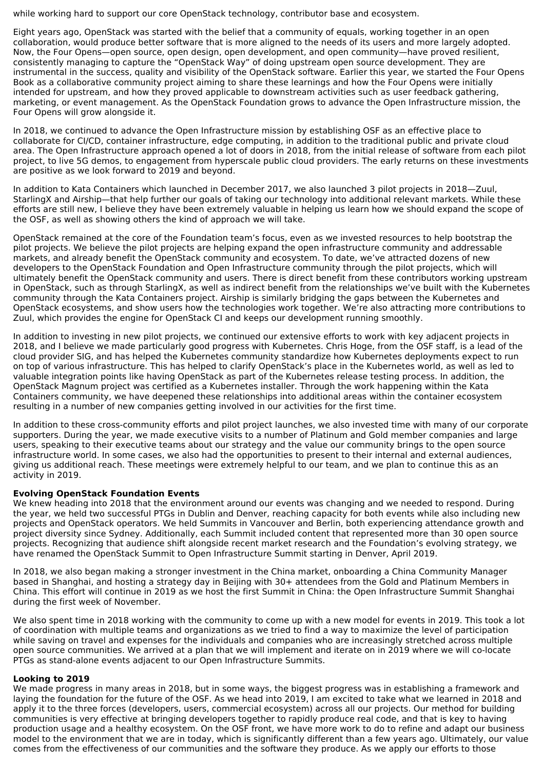while working hard to support our core OpenStack technology, contributor base and ecosystem.

Eight years ago, OpenStack was started with the belief that a community of equals, working together in an open collaboration, would produce better software that is more aligned to the needs of its users and more largely adopted. Now, the Four Opens—open source, open design, open development, and open community—have proved resilient, consistently managing to capture the "OpenStack Way" of doing upstream open source development. They are instrumental in the success, quality and visibility of the OpenStack software. Earlier this year, we started the Four Opens Book as a collaborative community project aiming to share these learnings and how the Four Opens were initially intended for upstream, and how they proved applicable to downstream activities such as user feedback gathering, marketing, or event management. As the OpenStack Foundation grows to advance the Open Infrastructure mission, the Four Opens will grow alongside it.

In 2018, we continued to advance the Open Infrastructure mission by establishing OSF as an effective place to collaborate for CI/CD, container infrastructure, edge computing, in addition to the traditional public and private cloud area. The Open Infrastructure approach opened a lot of doors in 2018, from the initial release of software from each pilot project, to live 5G demos, to engagement from hyperscale public cloud providers. The early returns on these investments are positive as we look forward to 2019 and beyond.

In addition to Kata Containers which launched in December 2017, we also launched 3 pilot projects in 2018—Zuul, StarlingX and Airship—that help further our goals of taking our technology into additional relevant markets. While these efforts are still new, I believe they have been extremely valuable in helping us learn how we should expand the scope of the OSF, as well as showing others the kind of approach we will take.

OpenStack remained at the core of the Foundation team's focus, even as we invested resources to help bootstrap the pilot projects. We believe the pilot projects are helping expand the open infrastructure community and addressable markets, and already benefit the OpenStack community and ecosystem. To date, we've attracted dozens of new developers to the OpenStack Foundation and Open Infrastructure community through the pilot projects, which will ultimately benefit the OpenStack community and users. There is direct benefit from these contributors working upstream in OpenStack, such as through StarlingX, as well as indirect benefit from the relationships we've built with the Kubernetes community through the Kata Containers project. Airship is similarly bridging the gaps between the Kubernetes and OpenStack ecosystems, and show users how the technologies work together. We're also attracting more contributions to Zuul, which provides the engine for OpenStack CI and keeps our development running smoothly.

In addition to investing in new pilot projects, we continued our extensive efforts to work with key adjacent projects in 2018, and I believe we made particularly good progress with Kubernetes. Chris Hoge, from the OSF staff, is a lead of the cloud provider SIG, and has helped the Kubernetes community standardize how Kubernetes deployments expect to run on top of various infrastructure. This has helped to clarify OpenStack's place in the Kubernetes world, as well as led to valuable integration points like having OpenStack as part of the Kubernetes release testing process. In addition, the OpenStack Magnum project was certified as a Kubernetes installer. Through the work happening within the Kata Containers community, we have deepened these relationships into additional areas within the container ecosystem resulting in a number of new companies getting involved in our activities for the first time.

In addition to these cross-community efforts and pilot project launches, we also invested time with many of our corporate supporters. During the year, we made executive visits to a number of Platinum and Gold member companies and large users, speaking to their executive teams about our strategy and the value our community brings to the open source infrastructure world. In some cases, we also had the opportunities to present to their internal and external audiences, giving us additional reach. These meetings were extremely helpful to our team, and we plan to continue this as an activity in 2019.

# **Evolving OpenStack Foundation Events**

We knew heading into 2018 that the environment around our events was changing and we needed to respond. During the year, we held two successful PTGs in Dublin and Denver, reaching capacity for both events while also including new projects and OpenStack operators. We held Summits in Vancouver and Berlin, both experiencing attendance growth and project diversity since Sydney. Additionally, each Summit included content that represented more than 30 open source projects. Recognizing that audience shift alongside recent market research and the Foundation's evolving strategy, we have renamed the OpenStack Summit to Open Infrastructure Summit starting in Denver, April 2019.

In 2018, we also began making a stronger investment in the China market, onboarding a China Community Manager based in Shanghai, and hosting a strategy day in Beijing with 30+ attendees from the Gold and Platinum Members in China. This effort will continue in 2019 as we host the first Summit in China: the Open Infrastructure Summit Shanghai during the first week of November.

We also spent time in 2018 working with the community to come up with a new model for events in 2019. This took a lot of coordination with multiple teams and organizations as we tried to find a way to maximize the level of participation while saving on travel and expenses for the individuals and companies who are increasingly stretched across multiple open source communities. We arrived at a plan that we will implement and iterate on in 2019 where we will co-locate PTGs as stand-alone events adjacent to our Open Infrastructure Summits.

#### **Looking to 2019**

We made progress in many areas in 2018, but in some ways, the biggest progress was in establishing a framework and laying the foundation for the future of the OSF. As we head into 2019, I am excited to take what we learned in 2018 and apply it to the three forces (developers, users, commercial ecosystem) across all our projects. Our method for building communities is very effective at bringing developers together to rapidly produce real code, and that is key to having production usage and a healthy ecosystem. On the OSF front, we have more work to do to refine and adapt our business model to the environment that we are in today, which is significantly different than a few years ago. Ultimately, our value comes from the effectiveness of our communities and the software they produce. As we apply our efforts to those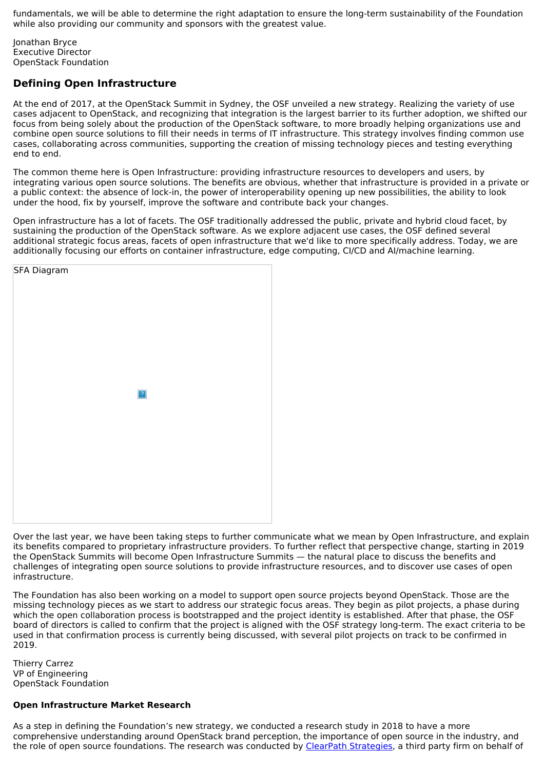fundamentals, we will be able to determine the right adaptation to ensure the long-term sustainability of the Foundation while also providing our community and sponsors with the greatest value.

Jonathan Bryce Executive Director OpenStack Foundation

# **Defining Open Infrastructure**

At the end of 2017, at the OpenStack Summit in Sydney, the OSF unveiled a new strategy. Realizing the variety of use cases adjacent to OpenStack, and recognizing that integration is the largest barrier to its further adoption, we shifted our focus from being solely about the production of the OpenStack software, to more broadly helping organizations use and combine open source solutions to fill their needs in terms of IT infrastructure. This strategy involves finding common use cases, collaborating across communities, supporting the creation of missing technology pieces and testing everything end to end.

The common theme here is Open Infrastructure: providing infrastructure resources to developers and users, by integrating various open source solutions. The benefits are obvious, whether that infrastructure is provided in a private or a public context: the absence of lock-in, the power of interoperability opening up new possibilities, the ability to look under the hood, fix by yourself, improve the software and contribute back your changes.

Open infrastructure has a lot of facets. The OSF traditionally addressed the public, private and hybrid cloud facet, by sustaining the production of the OpenStack software. As we explore adjacent use cases, the OSF defined several additional strategic focus areas, facets of open infrastructure that we'd like to more specifically address. Today, we are additionally focusing our efforts on container infrastructure, edge computing, CI/CD and AI/machine learning.

| <b>SFA Diagram</b> |           |  |
|--------------------|-----------|--|
|                    |           |  |
|                    |           |  |
|                    |           |  |
|                    |           |  |
|                    |           |  |
|                    |           |  |
|                    | $\vert$ ? |  |
|                    |           |  |
|                    |           |  |
|                    |           |  |
|                    |           |  |
|                    |           |  |
|                    |           |  |
|                    |           |  |

Over the last year, we have been taking steps to further communicate what we mean by Open Infrastructure, and explain its benefits compared to proprietary infrastructure providers. To further reflect that perspective change, starting in 2019 the OpenStack Summits will become Open Infrastructure Summits — the natural place to discuss the benefits and challenges of integrating open source solutions to provide infrastructure resources, and to discover use cases of open infrastructure.

The Foundation has also been working on a model to support open source projects beyond OpenStack. Those are the missing technology pieces as we start to address our strategic focus areas. They begin as pilot projects, a phase during which the open collaboration process is bootstrapped and the project identity is established. After that phase, the OSF board of directors is called to confirm that the project is aligned with the OSF strategy long-term. The exact criteria to be used in that confirmation process is currently being discussed, with several pilot projects on track to be confirmed in 2019.

Thierry Carrez VP of Engineering OpenStack Foundation

# **Open Infrastructure Market Research**

As a step in defining the Foundation's new strategy, we conducted a research study in 2018 to have a more comprehensive understanding around OpenStack brand perception, the importance of open source in the industry, and the role of open source foundations. The research was conducted by ClearPath [Strategies](http://www.clearpath-strategies.com/#map), a third party firm on behalf of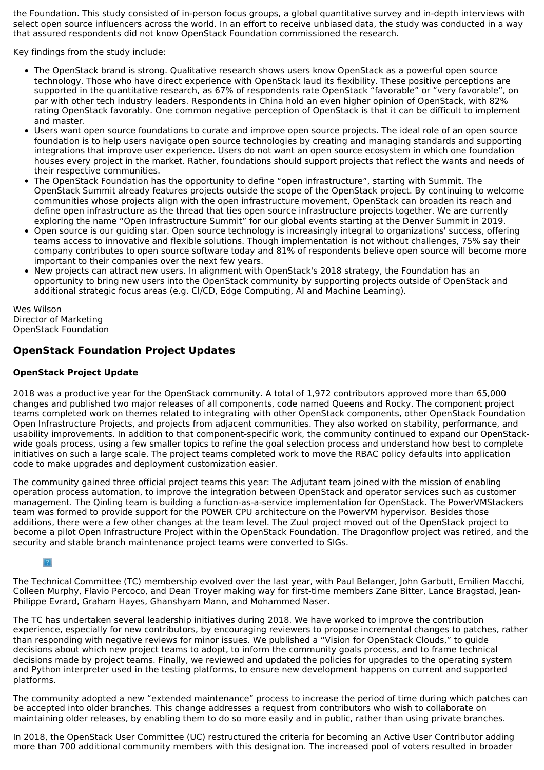the Foundation. This study consisted of in-person focus groups, a global quantitative survey and in-depth interviews with select open source influencers across the world. In an effort to receive unbiased data, the study was conducted in a way that assured respondents did not know OpenStack Foundation commissioned the research.

Key findings from the study include:

- The OpenStack brand is strong. Qualitative research shows users know OpenStack as a powerful open source technology. Those who have direct experience with OpenStack laud its flexibility. These positive perceptions are supported in the quantitative research, as 67% of respondents rate OpenStack "favorable" or "very favorable", on par with other tech industry leaders. Respondents in China hold an even higher opinion of OpenStack, with 82% rating OpenStack favorably. One common negative perception of OpenStack is that it can be difficult to implement and master.
- Users want open source foundations to curate and improve open source projects. The ideal role of an open source foundation is to help users navigate open source technologies by creating and managing standards and supporting integrations that improve user experience. Users do not want an open source ecosystem in which one foundation houses every project in the market. Rather, foundations should support projects that reflect the wants and needs of their respective communities.
- The OpenStack Foundation has the opportunity to define "open infrastructure", starting with Summit. The OpenStack Summit already features projects outside the scope of the OpenStack project. By continuing to welcome communities whose projects align with the open infrastructure movement, OpenStack can broaden its reach and define open infrastructure as the thread that ties open source infrastructure projects together. We are currently exploring the name "Open Infrastructure Summit" for our global events starting at the Denver Summit in 2019.
- Open source is our guiding star. Open source technology is increasingly integral to organizations' success, offering teams access to innovative and flexible solutions. Though implementation is not without challenges, 75% say their company contributes to open source software today and 81% of respondents believe open source will become more important to their companies over the next few years.
- New projects can attract new users. In alignment with OpenStack's 2018 strategy, the Foundation has an opportunity to bring new users into the OpenStack community by supporting projects outside of OpenStack and additional strategic focus areas (e.g. CI/CD, Edge Computing, AI and Machine Learning).

Wes Wilson Director of Marketing OpenStack Foundation

# **OpenStack Foundation Project Updates**

# **OpenStack Project Update**

2018 was a productive year for the OpenStack community. A total of 1,972 contributors approved more than 65,000 changes and published two major releases of all components, code named Queens and Rocky. The component project teams completed work on themes related to integrating with other OpenStack components, other OpenStack Foundation Open Infrastructure Projects, and projects from adjacent communities. They also worked on stability, performance, and usability improvements. In addition to that component-specific work, the community continued to expand our OpenStackwide goals process, using a few smaller topics to refine the goal selection process and understand how best to complete initiatives on such a large scale. The project teams completed work to move the RBAC policy defaults into application code to make upgrades and deployment customization easier.

The community gained three official project teams this year: The Adjutant team joined with the mission of enabling operation process automation, to improve the integration between OpenStack and operator services such as customer management. The Qinling team is building a function-as-a-service implementation for OpenStack. The PowerVMStackers team was formed to provide support for the POWER CPU architecture on the PowerVM hypervisor. Besides those additions, there were a few other changes at the team level. The Zuul project moved out of the OpenStack project to become a pilot Open Infrastructure Project within the OpenStack Foundation. The Dragonflow project was retired, and the security and stable branch maintenance project teams were converted to SIGs.



The Technical Committee (TC) membership evolved over the last year, with Paul Belanger, John Garbutt, Emilien Macchi, Colleen Murphy, Flavio Percoco, and Dean Troyer making way for first-time members Zane Bitter, Lance Bragstad, Jean-Philippe Evrard, Graham Hayes, Ghanshyam Mann, and Mohammed Naser.

The TC has undertaken several leadership initiatives during 2018. We have worked to improve the contribution experience, especially for new contributors, by encouraging reviewers to propose incremental changes to patches, rather than responding with negative reviews for minor issues. We published a "Vision for OpenStack Clouds," to guide decisions about which new project teams to adopt, to inform the community goals process, and to frame technical decisions made by project teams. Finally, we reviewed and updated the policies for upgrades to the operating system and Python interpreter used in the testing platforms, to ensure new development happens on current and supported platforms.

The community adopted a new "extended maintenance" process to increase the period of time during which patches can be accepted into older branches. This change addresses a request from contributors who wish to collaborate on maintaining older releases, by enabling them to do so more easily and in public, rather than using private branches.

In 2018, the OpenStack User Committee (UC) restructured the criteria for becoming an Active User Contributor adding more than 700 additional community members with this designation. The increased pool of voters resulted in broader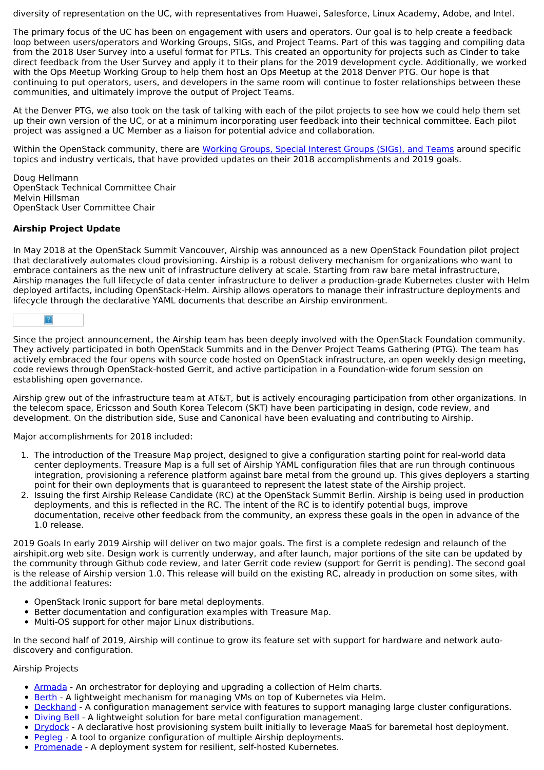diversity of representation on the UC, with representatives from Huawei, Salesforce, Linux Academy, Adobe, and Intel.

The primary focus of the UC has been on engagement with users and operators. Our goal is to help create a feedback loop between users/operators and Working Groups, SIGs, and Project Teams. Part of this was tagging and compiling data from the 2018 User Survey into a useful format for PTLs. This created an opportunity for projects such as Cinder to take direct feedback from the User Survey and apply it to their plans for the 2019 development cycle. Additionally, we worked with the Ops Meetup Working Group to help them host an Ops Meetup at the 2018 Denver PTG. Our hope is that continuing to put operators, users, and developers in the same room will continue to foster relationships between these communities, and ultimately improve the output of Project Teams.

At the Denver PTG, we also took on the task of talking with each of the pilot projects to see how we could help them set up their own version of the UC, or at a minimum incorporating user feedback into their technical committee. Each pilot project was assigned a UC Member as a liaison for potential advice and collaboration.

Within the OpenStack community, there are [Working](file:///tmp/foundation/2018-openstack-foundation-annual-report#openstack-working-group-and-special-interest-group-sig-updates) Groups, Special Interest Groups (SIGs), and Teams around specific topics and industry verticals, that have provided updates on their 2018 accomplishments and 2019 goals.

Doug Hellmann OpenStack Technical Committee Chair Melvin Hillsman OpenStack User Committee Chair

#### **Airship Project Update**

In May 2018 at the OpenStack Summit Vancouver, Airship was announced as a new OpenStack Foundation pilot project that declaratively automates cloud provisioning. Airship is a robust delivery mechanism for organizations who want to embrace containers as the new unit of infrastructure delivery at scale. Starting from raw bare metal infrastructure, Airship manages the full lifecycle of data center infrastructure to deliver a production-grade Kubernetes cluster with Helm deployed artifacts, including OpenStack-Helm. Airship allows operators to manage their infrastructure deployments and lifecycle through the declarative YAML documents that describe an Airship environment.



Since the project announcement, the Airship team has been deeply involved with the OpenStack Foundation community. They actively participated in both OpenStack Summits and in the Denver Project Teams Gathering (PTG). The team has actively embraced the four opens with source code hosted on OpenStack infrastructure, an open weekly design meeting, code reviews through OpenStack-hosted Gerrit, and active participation in a Foundation-wide forum session on establishing open governance.

Airship grew out of the infrastructure team at AT&T, but is actively encouraging participation from other organizations. In the telecom space, Ericsson and South Korea Telecom (SKT) have been participating in design, code review, and development. On the distribution side, Suse and Canonical have been evaluating and contributing to Airship.

Major accomplishments for 2018 included:

- 1. The introduction of the Treasure Map project, designed to give a configuration starting point for real-world data center deployments. Treasure Map is a full set of Airship YAML configuration files that are run through continuous integration, provisioning a reference platform against bare metal from the ground up. This gives deployers a starting point for their own deployments that is guaranteed to represent the latest state of the Airship project.
- 2. Issuing the first Airship Release Candidate (RC) at the OpenStack Summit Berlin. Airship is being used in production deployments, and this is reflected in the RC. The intent of the RC is to identify potential bugs, improve documentation, receive other feedback from the community, an express these goals in the open in advance of the 1.0 release.

2019 Goals In early 2019 Airship will deliver on two major goals. The first is a complete redesign and relaunch of the airshipit.org web site. Design work is currently underway, and after launch, major portions of the site can be updated by the community through Github code review, and later Gerrit code review (support for Gerrit is pending). The second goal is the release of Airship version 1.0. This release will build on the existing RC, already in production on some sites, with the additional features:

- OpenStack Ironic support for bare metal deployments.
- Better documentation and configuration examples with Treasure Map.
- Multi-OS support for other major Linux distributions.

In the second half of 2019, Airship will continue to grow its feature set with support for hardware and network autodiscovery and configuration.

#### Airship Projects

- [Armada](https://git.airshipit.org/cgit/airship-armada/) An orchestrator for deploying and upgrading a collection of Helm charts.
- **[Berth](https://git.airshipit.org/cgit/airship-berth/) A lightweight mechanism for managing VMs on top of Kubernetes via Helm.**
- [Deckhand](https://git.airshipit.org/cgit/airship-deckhand/) A configuration management service with features to support managing large cluster configurations.
- [Diving](https://git.airshipit.org/cgit/airship-divingbell/) Bell A lightweight solution for bare metal configuration management.
- [Drydock](https://git.airshipit.org/cgit/airship-drydock/) A declarative host provisioning system built initially to leverage MaaS for baremetal host deployment.
- [Pegleg](https://git.airshipit.org/cgit/airship-pegleg/) A tool to organize configuration of multiple Airship deployments.
- [Promenade](https://git.airshipit.org/cgit/airship-promenade) A deployment system for resilient, self-hosted Kubernetes.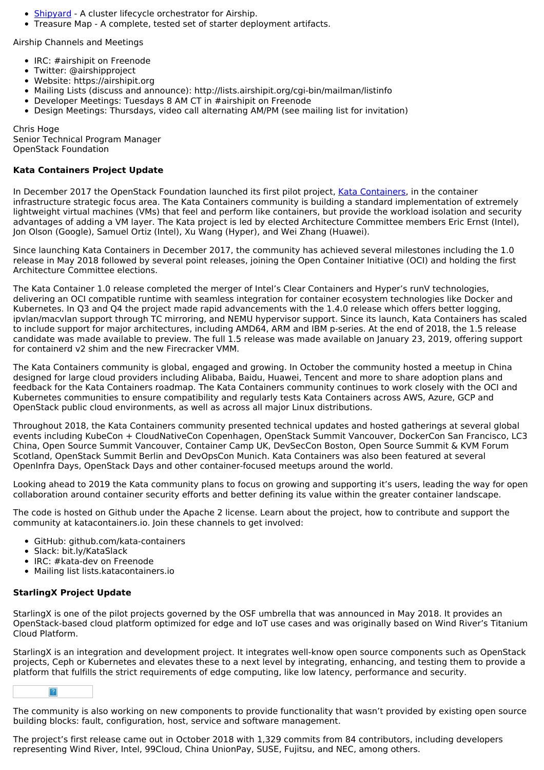- [Shipyard](https://git.airshipit.org/cgit/airship-shipyard) A cluster lifecycle orchestrator for Airship.
- Treasure Map A complete, tested set of starter deployment artifacts.

Airship Channels and Meetings

- IRC: #airshipit on Freenode
- Twitter: @airshipproject
- Website: https://airshipit.org
- Mailing Lists (discuss and announce): http://lists.airshipit.org/cgi-bin/mailman/listinfo
- Developer Meetings: Tuesdays 8 AM CT in #airshipit on Freenode
- Design Meetings: Thursdays, video call alternating AM/PM (see mailing list for invitation)

Chris Hoge Senior Technical Program Manager OpenStack Foundation

#### **Kata Containers Project Update**

In December 2017 the OpenStack Foundation launched its first pilot project, Kata [Containers](http://katacontainers.io/), in the container infrastructure strategic focus area. The Kata Containers community is building a standard implementation of extremely lightweight virtual machines (VMs) that feel and perform like containers, but provide the workload isolation and security advantages of adding a VM layer. The Kata project is led by elected Architecture Committee members Eric Ernst (Intel), Jon Olson (Google), Samuel Ortiz (Intel), Xu Wang (Hyper), and Wei Zhang (Huawei).

Since launching Kata Containers in December 2017, the community has achieved several milestones including the 1.0 release in May 2018 followed by several point releases, joining the Open Container Initiative (OCI) and holding the first Architecture Committee elections.

The Kata Container 1.0 release completed the merger of Intel's Clear Containers and Hyper's runV technologies, delivering an OCI compatible runtime with seamless integration for container ecosystem technologies like Docker and Kubernetes. In Q3 and Q4 the project made rapid advancements with the 1.4.0 release which offers better logging, ipvlan/macvlan support through TC mirroring, and NEMU hypervisor support. Since its launch, Kata Containers has scaled to include support for major architectures, including AMD64, ARM and IBM p-series. At the end of 2018, the 1.5 release candidate was made available to preview. The full 1.5 release was made available on January 23, 2019, offering support for containerd v2 shim and the new Firecracker VMM.

The Kata Containers community is global, engaged and growing. In October the community hosted a meetup in China designed for large cloud providers including Alibaba, Baidu, Huawei, Tencent and more to share adoption plans and feedback for the Kata Containers roadmap. The Kata Containers community continues to work closely with the OCI and Kubernetes communities to ensure compatibility and regularly tests Kata Containers across AWS, Azure, GCP and OpenStack public cloud environments, as well as across all major Linux distributions.

Throughout 2018, the Kata Containers community presented technical updates and hosted gatherings at several global events including KubeCon + CloudNativeCon Copenhagen, OpenStack Summit Vancouver, DockerCon San Francisco, LC3 China, Open Source Summit Vancouver, Container Camp UK, DevSecCon Boston, Open Source Summit & KVM Forum Scotland, OpenStack Summit Berlin and DevOpsCon Munich. Kata Containers was also been featured at several OpenInfra Days, OpenStack Days and other container-focused meetups around the world.

Looking ahead to 2019 the Kata community plans to focus on growing and supporting it's users, leading the way for open collaboration around container security efforts and better defining its value within the greater container landscape.

The code is hosted on Github under the Apache 2 license. Learn about the project, how to contribute and support the community at katacontainers.io. Join these channels to get involved:

- GitHub: github.com/kata-containers
- Slack: bit.ly/KataSlack
- IRC: #kata-dev on Freenode
- Mailing list lists.katacontainers.io

#### **StarlingX Project Update**

StarlingX is one of the pilot projects governed by the OSF umbrella that was announced in May 2018. It provides an OpenStack-based cloud platform optimized for edge and IoT use cases and was originally based on Wind River's Titanium Cloud Platform.

StarlingX is an integration and development project. It integrates well-know open source components such as OpenStack projects, Ceph or Kubernetes and elevates these to a next level by integrating, enhancing, and testing them to provide a platform that fulfills the strict requirements of edge computing, like low latency, performance and security.



The community is also working on new components to provide functionality that wasn't provided by existing open source building blocks: fault, configuration, host, service and software management.

The project's first release came out in October 2018 with 1,329 commits from 84 contributors, including developers representing Wind River, Intel, 99Cloud, China UnionPay, SUSE, Fujitsu, and NEC, among others.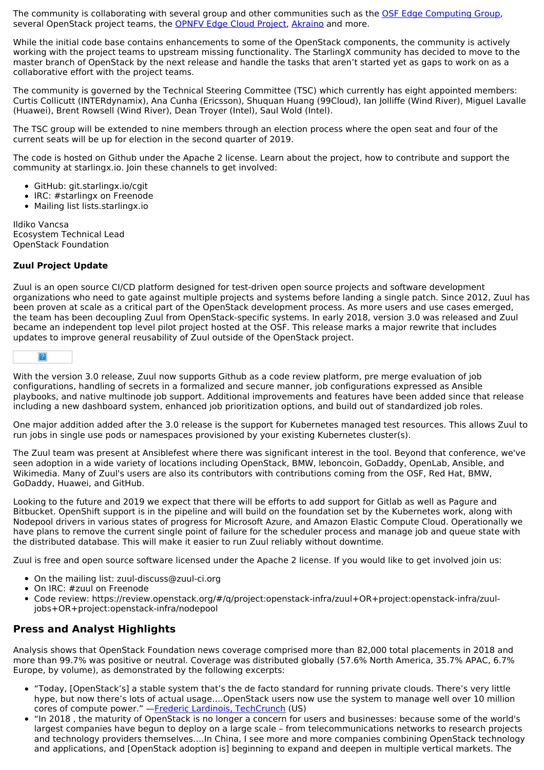The community is collaborating with several group and other communities such as the OSF Edge [Computing](https://wiki.openstack.org/wiki/Edge_Computing_Group) Group, several OpenStack project teams, the OPNFV Edge Cloud [Project,](https://wiki.opnfv.org/display/PROJ/Edge+cloud) [Akraino](https://www.akraino.org/) and more.

While the initial code base contains enhancements to some of the OpenStack components, the community is actively working with the project teams to upstream missing functionality. The StarlingX community has decided to move to the master branch of OpenStack by the next release and handle the tasks that aren't started yet as gaps to work on as a collaborative effort with the project teams.

The community is governed by the Technical Steering Committee (TSC) which currently has eight appointed members: Curtis Collicutt (INTERdynamix), Ana Cunha (Ericsson), Shuquan Huang (99Cloud), Ian Jolliffe (Wind River), Miguel Lavalle (Huawei), Brent Rowsell (Wind River), Dean Troyer (Intel), Saul Wold (Intel).

The TSC group will be extended to nine members through an election process where the open seat and four of the current seats will be up for election in the second quarter of 2019.

The code is hosted on Github under the Apache 2 license. Learn about the project, how to contribute and support the community at starlingx.io. Join these channels to get involved:

- GitHub: git.starlingx.io/cgit
- IRC: #starlingx on Freenode
- Mailing list lists.starlingx.io

Ildiko Vancsa Ecosystem Technical Lead OpenStack Foundation

#### **Zuul Project Update**

Zuul is an open source CI/CD platform designed for test-driven open source projects and software development organizations who need to gate against multiple projects and systems before landing a single patch. Since 2012, Zuul has been proven at scale as a critical part of the OpenStack development process. As more users and use cases emerged, the team has been decoupling Zuul from OpenStack-specific systems. In early 2018, version 3.0 was released and Zuul became an independent top level pilot project hosted at the OSF. This release marks a major rewrite that includes updates to improve general reusability of Zuul outside of the OpenStack project.



With the version 3.0 release, Zuul now supports Github as a code review platform, pre merge evaluation of job configurations, handling of secrets in a formalized and secure manner, job configurations expressed as Ansible playbooks, and native multinode job support. Additional improvements and features have been added since that release including a new dashboard system, enhanced job prioritization options, and build out of standardized job roles.

One major addition added after the 3.0 release is the support for Kubernetes managed test resources. This allows Zuul to run jobs in single use pods or namespaces provisioned by your existing Kubernetes cluster(s).

The Zuul team was present at Ansiblefest where there was significant interest in the tool. Beyond that conference, we've seen adoption in a wide variety of locations including OpenStack, BMW, leboncoin, GoDaddy, OpenLab, Ansible, and Wikimedia. Many of Zuul's users are also its contributors with contributions coming from the OSF, Red Hat, BMW, GoDaddy, Huawei, and GitHub.

Looking to the future and 2019 we expect that there will be efforts to add support for Gitlab as well as Pagure and Bitbucket. OpenShift support is in the pipeline and will build on the foundation set by the Kubernetes work, along with Nodepool drivers in various states of progress for Microsoft Azure, and Amazon Elastic Compute Cloud. Operationally we have plans to remove the current single point of failure for the scheduler process and manage job and queue state with the distributed database. This will make it easier to run Zuul reliably without downtime.

Zuul is free and open source software licensed under the Apache 2 license. If you would like to get involved join us:

- On the mailing list: zuul-discuss@zuul-ci.org
- On IRC: #zuul on Freenode
- Code review: https://review.openstack.org/#/q/project:openstack-infra/zuul+OR+project:openstack-infra/zuuljobs+OR+project:openstack-infra/nodepool

# **Press and Analyst Highlights**

Analysis shows that OpenStack Foundation news coverage comprised more than 82,000 total placements in 2018 and more than 99.7% was positive or neutral. Coverage was distributed globally (57.6% North America, 35.7% APAC, 6.7% Europe, by volume), as demonstrated by the following excerpts:

- "Today, [OpenStack's] a stable system that's the de facto standard for running private clouds. There's very little hype, but now there's lots of actual usage….OpenStack users now use the system to manage well over 10 million cores of compute power." —Frederic Lardinois, [TechCrunch](https://techcrunch.com/2018/11/15/totgesagte-leben-laenger-openstacks-new-focus-on-open-infrastructure-into-view/) (US)
- "In 2018 , the maturity of OpenStack is no longer a concern for users and businesses: because some of the world's largest companies have begun to deploy on a large scale – from telecommunications networks to research projects and technology providers themselves….In China, I see more and more companies combining OpenStack technology and applications, and [OpenStack adoption is] beginning to expand and deepen in multiple vertical markets. The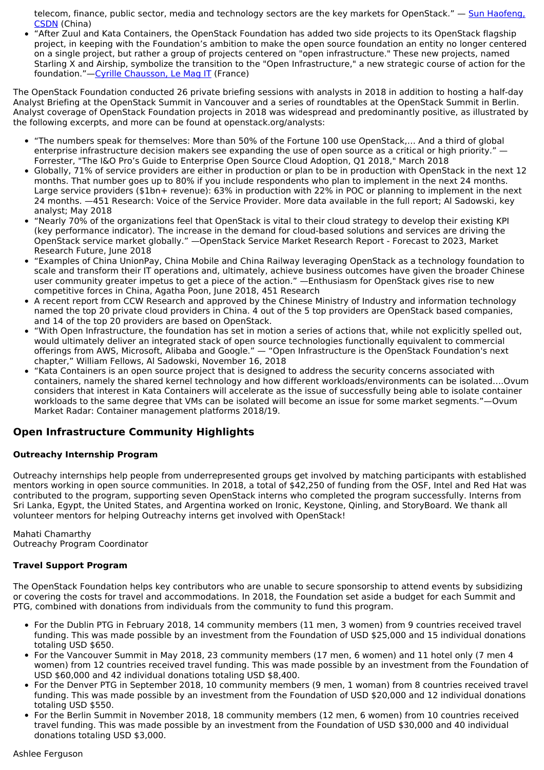telecom, finance, public sector, media and technology sectors are the key markets for [OpenStack."](https://blog.csdn.net/sunhf_csdn/article/details/84134524) - Sun Haofeng, CSDN (China)

"After Zuul and Kata Containers, the OpenStack Foundation has added two side projects to its OpenStack flagship project, in keeping with the Foundation's ambition to make the open source foundation an entity no longer centered on a single project, but rather a group of projects centered on "open infrastructure." These new projects, named Starling X and Airship, symbolize the transition to the "Open Infrastructure," a new strategic course of action for the foundation."—Cyrille [Chausson,](https://www.lemagit.fr/actualites/252452500/LOpenStack-Foundation-fait-de-la-place-a-ses-projets-annexes-hors-OpenStack) Le Mag IT (France)

The OpenStack Foundation conducted 26 private briefing sessions with analysts in 2018 in addition to hosting a half-day Analyst Briefing at the OpenStack Summit in Vancouver and a series of roundtables at the OpenStack Summit in Berlin. Analyst coverage of OpenStack Foundation projects in 2018 was widespread and predominantly positive, as illustrated by the following excerpts, and more can be found at openstack.org/analysts:

- "The numbers speak for themselves: More than 50% of the Fortune 100 use OpenStack,… And a third of global enterprise infrastructure decision makers see expanding the use of open source as a critical or high priority." — Forrester, "The I&O Pro's Guide to Enterprise Open Source Cloud Adoption, Q1 2018," March 2018
- Globally, 71% of service providers are either in production or plan to be in production with OpenStack in the next 12 months. That number goes up to 80% if you include respondents who plan to implement in the next 24 months. Large service providers (\$1bn+ revenue): 63% in production with 22% in POC or planning to implement in the next 24 months. —451 Research: Voice of the Service Provider. More data available in the full report; Al Sadowski, key analyst; May 2018
- "Nearly 70% of the organizations feel that OpenStack is vital to their cloud strategy to develop their existing KPI (key performance indicator). The increase in the demand for cloud-based solutions and services are driving the OpenStack service market globally." —OpenStack Service Market Research Report - Forecast to 2023, Market Research Future, June 2018
- "Examples of China UnionPay, China Mobile and China Railway leveraging OpenStack as a technology foundation to scale and transform their IT operations and, ultimately, achieve business outcomes have given the broader Chinese user community greater impetus to get a piece of the action." —Enthusiasm for OpenStack gives rise to new competitive forces in China, Agatha Poon, June 2018, 451 Research
- A recent report from CCW Research and approved by the Chinese Ministry of Industry and information technology named the top 20 private cloud providers in China. 4 out of the 5 top providers are OpenStack based companies, and 14 of the top 20 providers are based on OpenStack.
- "With Open Infrastructure, the foundation has set in motion a series of actions that, while not explicitly spelled out, would ultimately deliver an integrated stack of open source technologies functionally equivalent to commercial offerings from AWS, Microsoft, Alibaba and Google." — "Open Infrastructure is the OpenStack Foundation's next chapter," William Fellows, Al Sadowski, November 16, 2018
- "Kata Containers is an open source project that is designed to address the security concerns associated with containers, namely the shared kernel technology and how different workloads/environments can be isolated….Ovum considers that interest in Kata Containers will accelerate as the issue of successfully being able to isolate container workloads to the same degree that VMs can be isolated will become an issue for some market segments."—Ovum Market Radar: Container management platforms 2018/19.

# **Open Infrastructure Community Highlights**

# **Outreachy Internship Program**

Outreachy internships help people from underrepresented groups get involved by matching participants with established mentors working in open source communities. In 2018, a total of \$42,250 of funding from the OSF, Intel and Red Hat was contributed to the program, supporting seven OpenStack interns who completed the program successfully. Interns from Sri Lanka, Egypt, the United States, and Argentina worked on Ironic, Keystone, Qinling, and StoryBoard. We thank all volunteer mentors for helping Outreachy interns get involved with OpenStack!

Mahati Chamarthy Outreachy Program Coordinator

# **Travel Support Program**

The OpenStack Foundation helps key contributors who are unable to secure sponsorship to attend events by subsidizing or covering the costs for travel and accommodations. In 2018, the Foundation set aside a budget for each Summit and PTG, combined with donations from individuals from the community to fund this program.

- For the Dublin PTG in February 2018, 14 community members (11 men, 3 women) from 9 countries received travel funding. This was made possible by an investment from the Foundation of USD \$25,000 and 15 individual donations totaling USD \$650.
- For the Vancouver Summit in May 2018, 23 community members (17 men, 6 women) and 11 hotel only (7 men 4 women) from 12 countries received travel funding. This was made possible by an investment from the Foundation of USD \$60,000 and 42 individual donations totaling USD \$8,400.
- For the Denver PTG in September 2018, 10 community members (9 men, 1 woman) from 8 countries received travel funding. This was made possible by an investment from the Foundation of USD \$20,000 and 12 individual donations totaling USD \$550.
- For the Berlin Summit in November 2018, 18 community members (12 men, 6 women) from 10 countries received travel funding. This was made possible by an investment from the Foundation of USD \$30,000 and 40 individual donations totaling USD \$3,000.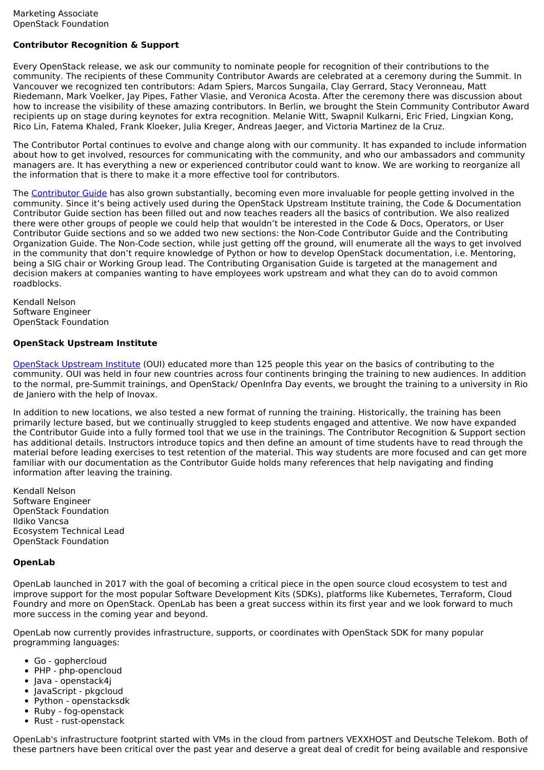# **Contributor Recognition & Support**

Every OpenStack release, we ask our community to nominate people for recognition of their contributions to the community. The recipients of these Community Contributor Awards are celebrated at a ceremony during the Summit. In Vancouver we recognized ten contributors: Adam Spiers, Marcos Sungaila, Clay Gerrard, Stacy Veronneau, Matt Riedemann, Mark Voelker, Jay Pipes, Father Vlasie, and Veronica Acosta. After the ceremony there was discussion about how to increase the visibility of these amazing contributors. In Berlin, we brought the Stein Community Contributor Award recipients up on stage during keynotes for extra recognition. Melanie Witt, Swapnil Kulkarni, Eric Fried, Lingxian Kong, Rico Lin, Fatema Khaled, Frank Kloeker, Julia Kreger, Andreas Jaeger, and Victoria Martinez de la Cruz.

The Contributor Portal continues to evolve and change along with our community. It has expanded to include information about how to get involved, resources for communicating with the community, and who our ambassadors and community managers are. It has everything a new or experienced contributor could want to know. We are working to reorganize all the information that is there to make it a more effective tool for contributors.

The [Contributor](https://docs.openstack.org/contributors/) Guide has also grown substantially, becoming even more invaluable for people getting involved in the community. Since it's being actively used during the OpenStack Upstream Institute training, the Code & Documentation Contributor Guide section has been filled out and now teaches readers all the basics of contribution. We also realized there were other groups of people we could help that wouldn't be interested in the Code & Docs, Operators, or User Contributor Guide sections and so we added two new sections: the Non-Code Contributor Guide and the Contributing Organization Guide. The Non-Code section, while just getting off the ground, will enumerate all the ways to get involved in the community that don't require knowledge of Python or how to develop OpenStack documentation, i.e. Mentoring, being a SIG chair or Working Group lead. The Contributing Organisation Guide is targeted at the management and decision makers at companies wanting to have employees work upstream and what they can do to avoid common roadblocks.

Kendall Nelson Software Engineer OpenStack Foundation

#### **OpenStack Upstream Institute**

[OpenStack](https://docs.openstack.org/upstream-training/index.html) Upstream Institute (OUI) educated more than 125 people this year on the basics of contributing to the community. OUI was held in four new countries across four continents bringing the training to new audiences. In addition to the normal, pre-Summit trainings, and OpenStack/ OpenInfra Day events, we brought the training to a university in Rio de Janiero with the help of Inovax.

In addition to new locations, we also tested a new format of running the training. Historically, the training has been primarily lecture based, but we continually struggled to keep students engaged and attentive. We now have expanded the Contributor Guide into a fully formed tool that we use in the trainings. The Contributor Recognition & Support section has additional details. Instructors introduce topics and then define an amount of time students have to read through the material before leading exercises to test retention of the material. This way students are more focused and can get more familiar with our documentation as the Contributor Guide holds many references that help navigating and finding information after leaving the training.

Kendall Nelson Software Engineer OpenStack Foundation Ildiko Vancsa Ecosystem Technical Lead OpenStack Foundation

#### **OpenLab**

OpenLab launched in 2017 with the goal of becoming a critical piece in the open source cloud ecosystem to test and improve support for the most popular Software Development Kits (SDKs), platforms like Kubernetes, Terraform, Cloud Foundry and more on OpenStack. OpenLab has been a great success within its first year and we look forward to much more success in the coming year and beyond.

OpenLab now currently provides infrastructure, supports, or coordinates with OpenStack SDK for many popular programming languages:

- Go gophercloud
- PHP php-opencloud
- Java openstack4j
- JavaScript pkgcloud
- Python openstacksdk
- Ruby fog-openstack
- Rust rust-openstack

OpenLab's infrastructure footprint started with VMs in the cloud from partners VEXXHOST and Deutsche Telekom. Both of these partners have been critical over the past year and deserve a great deal of credit for being available and responsive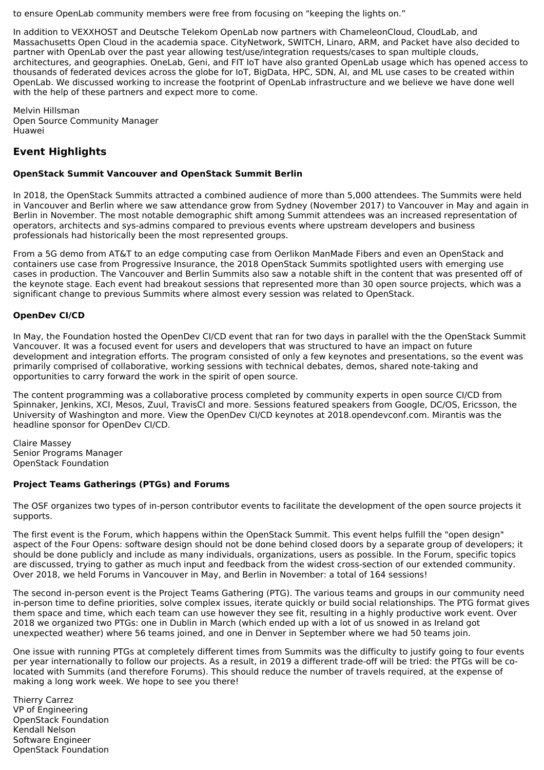to ensure OpenLab community members were free from focusing on "keeping the lights on."

In addition to VEXXHOST and Deutsche Telekom OpenLab now partners with ChameleonCloud, CloudLab, and Massachusetts Open Cloud in the academia space. CityNetwork, SWITCH, Linaro, ARM, and Packet have also decided to partner with OpenLab over the past year allowing test/use/integration requests/cases to span multiple clouds, architectures, and geographies. OneLab, Geni, and FIT IoT have also granted OpenLab usage which has opened access to thousands of federated devices across the globe for IoT, BigData, HPC, SDN, AI, and ML use cases to be created within OpenLab. We discussed working to increase the footprint of OpenLab infrastructure and we believe we have done well with the help of these partners and expect more to come.

Melvin Hillsman Open Source Community Manager Huawei

# **Event Highlights**

#### **OpenStack Summit Vancouver and OpenStack Summit Berlin**

In 2018, the OpenStack Summits attracted a combined audience of more than 5,000 attendees. The Summits were held in Vancouver and Berlin where we saw attendance grow from Sydney (November 2017) to Vancouver in May and again in Berlin in November. The most notable demographic shift among Summit attendees was an increased representation of operators, architects and sys-admins compared to previous events where upstream developers and business professionals had historically been the most represented groups.

From a 5G demo from AT&T to an edge computing case from Oerlikon ManMade Fibers and even an OpenStack and containers use case from Progressive Insurance, the 2018 OpenStack Summits spotlighted users with emerging use cases in production. The Vancouver and Berlin Summits also saw a notable shift in the content that was presented off of the keynote stage. Each event had breakout sessions that represented more than 30 open source projects, which was a significant change to previous Summits where almost every session was related to OpenStack.

# **OpenDev CI/CD**

In May, the Foundation hosted the OpenDev CI/CD event that ran for two days in parallel with the the OpenStack Summit Vancouver. It was a focused event for users and developers that was structured to have an impact on future development and integration efforts. The program consisted of only a few keynotes and presentations, so the event was primarily comprised of collaborative, working sessions with technical debates, demos, shared note-taking and opportunities to carry forward the work in the spirit of open source.

The content programming was a collaborative process completed by community experts in open source CI/CD from Spinnaker, Jenkins, XCI, Mesos, Zuul, TravisCI and more. Sessions featured speakers from Google, DC/OS, Ericsson, the University of Washington and more. View the OpenDev CI/CD keynotes at 2018.opendevconf.com. Mirantis was the headline sponsor for OpenDev CI/CD.

Claire Massey Senior Programs Manager OpenStack Foundation

# **Project Teams Gatherings (PTGs) and Forums**

The OSF organizes two types of in-person contributor events to facilitate the development of the open source projects it supports.

The first event is the Forum, which happens within the OpenStack Summit. This event helps fulfill the "open design" aspect of the Four Opens: software design should not be done behind closed doors by a separate group of developers; it should be done publicly and include as many individuals, organizations, users as possible. In the Forum, specific topics are discussed, trying to gather as much input and feedback from the widest cross-section of our extended community. Over 2018, we held Forums in Vancouver in May, and Berlin in November: a total of 164 sessions!

The second in-person event is the Project Teams Gathering (PTG). The various teams and groups in our community need in-person time to define priorities, solve complex issues, iterate quickly or build social relationships. The PTG format gives them space and time, which each team can use however they see fit, resulting in a highly productive work event. Over 2018 we organized two PTGs: one in Dublin in March (which ended up with a lot of us snowed in as Ireland got unexpected weather) where 56 teams joined, and one in Denver in September where we had 50 teams join.

One issue with running PTGs at completely different times from Summits was the difficulty to justify going to four events per year internationally to follow our projects. As a result, in 2019 a different trade-off will be tried: the PTGs will be colocated with Summits (and therefore Forums). This should reduce the number of travels required, at the expense of making a long work week. We hope to see you there!

Thierry Carrez VP of Engineering OpenStack Foundation Kendall Nelson Software Engineer OpenStack Foundation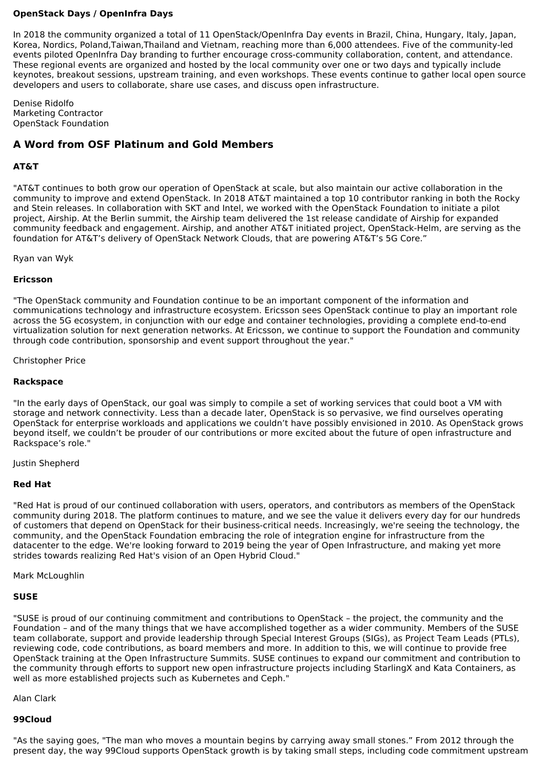#### **OpenStack Days / OpenInfra Days**

In 2018 the community organized a total of 11 OpenStack/OpenInfra Day events in Brazil, China, Hungary, Italy, Japan, Korea, Nordics, Poland,Taiwan,Thailand and Vietnam, reaching more than 6,000 attendees. Five of the community-led events piloted OpenInfra Day branding to further encourage cross-community collaboration, content, and attendance. These regional events are organized and hosted by the local community over one or two days and typically include keynotes, breakout sessions, upstream training, and even workshops. These events continue to gather local open source developers and users to collaborate, share use cases, and discuss open infrastructure.

Denise Ridolfo Marketing Contractor OpenStack Foundation

# **A Word from OSF Platinum and Gold Members**

#### **AT&T**

"AT&T continues to both grow our operation of OpenStack at scale, but also maintain our active collaboration in the community to improve and extend OpenStack. In 2018 AT&T maintained a top 10 contributor ranking in both the Rocky and Stein releases. In collaboration with SKT and Intel, we worked with the OpenStack Foundation to initiate a pilot project, Airship. At the Berlin summit, the Airship team delivered the 1st release candidate of Airship for expanded community feedback and engagement. Airship, and another AT&T initiated project, OpenStack-Helm, are serving as the foundation for AT&T's delivery of OpenStack Network Clouds, that are powering AT&T's 5G Core."

Ryan van Wyk

#### **Ericsson**

"The OpenStack community and Foundation continue to be an important component of the information and communications technology and infrastructure ecosystem. Ericsson sees OpenStack continue to play an important role across the 5G ecosystem, in conjunction with our edge and container technologies, providing a complete end-to-end virtualization solution for next generation networks. At Ericsson, we continue to support the Foundation and community through code contribution, sponsorship and event support throughout the year."

Christopher Price

#### **Rackspace**

"In the early days of OpenStack, our goal was simply to compile a set of working services that could boot a VM with storage and network connectivity. Less than a decade later, OpenStack is so pervasive, we find ourselves operating OpenStack for enterprise workloads and applications we couldn't have possibly envisioned in 2010. As OpenStack grows beyond itself, we couldn't be prouder of our contributions or more excited about the future of open infrastructure and Rackspace's role."

Justin Shepherd

#### **Red Hat**

"Red Hat is proud of our continued collaboration with users, operators, and contributors as members of the OpenStack community during 2018. The platform continues to mature, and we see the value it delivers every day for our hundreds of customers that depend on OpenStack for their business-critical needs. Increasingly, we're seeing the technology, the community, and the OpenStack Foundation embracing the role of integration engine for infrastructure from the datacenter to the edge. We're looking forward to 2019 being the year of Open Infrastructure, and making yet more strides towards realizing Red Hat's vision of an Open Hybrid Cloud."

Mark McLoughlin

#### **SUSE**

"SUSE is proud of our continuing commitment and contributions to OpenStack – the project, the community and the Foundation – and of the many things that we have accomplished together as a wider community. Members of the SUSE team collaborate, support and provide leadership through Special Interest Groups (SIGs), as Project Team Leads (PTLs), reviewing code, code contributions, as board members and more. In addition to this, we will continue to provide free OpenStack training at the Open Infrastructure Summits. SUSE continues to expand our commitment and contribution to the community through efforts to support new open infrastructure projects including StarlingX and Kata Containers, as well as more established projects such as Kubernetes and Ceph."

Alan Clark

#### **99Cloud**

"As the saying goes, "The man who moves a mountain begins by carrying away small stones." From 2012 through the present day, the way 99Cloud supports OpenStack growth is by taking small steps, including code commitment upstream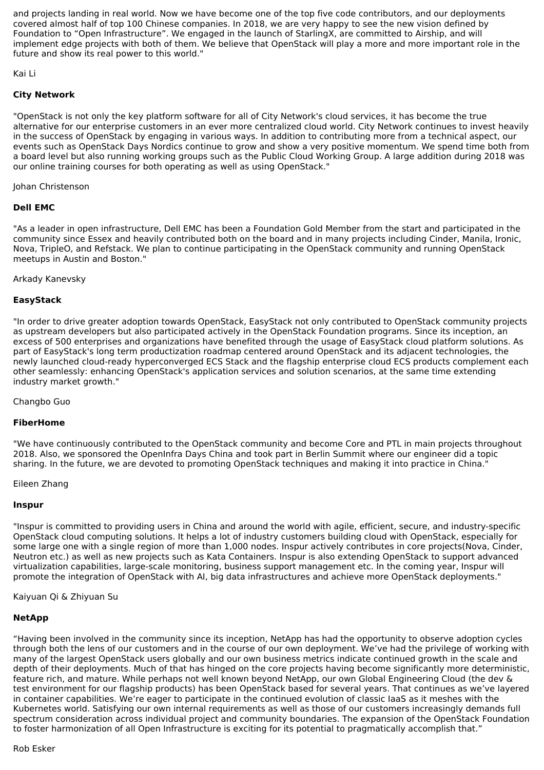and projects landing in real world. Now we have become one of the top five code contributors, and our deployments covered almost half of top 100 Chinese companies. In 2018, we are very happy to see the new vision defined by Foundation to "Open Infrastructure". We engaged in the launch of StarlingX, are committed to Airship, and will implement edge projects with both of them. We believe that OpenStack will play a more and more important role in the future and show its real power to this world."

Kai Li

# **City Network**

"OpenStack is not only the key platform software for all of City Network's cloud services, it has become the true alternative for our enterprise customers in an ever more centralized cloud world. City Network continues to invest heavily in the success of OpenStack by engaging in various ways. In addition to contributing more from a technical aspect, our events such as OpenStack Days Nordics continue to grow and show a very positive momentum. We spend time both from a board level but also running working groups such as the Public Cloud Working Group. A large addition during 2018 was our online training courses for both operating as well as using OpenStack."

Johan Christenson

# **Dell EMC**

"As a leader in open infrastructure, Dell EMC has been a Foundation Gold Member from the start and participated in the community since Essex and heavily contributed both on the board and in many projects including Cinder, Manila, Ironic, Nova, TripleO, and Refstack. We plan to continue participating in the OpenStack community and running OpenStack meetups in Austin and Boston."

#### Arkady Kanevsky

#### **EasyStack**

"In order to drive greater adoption towards OpenStack, EasyStack not only contributed to OpenStack community projects as upstream developers but also participated actively in the OpenStack Foundation programs. Since its inception, an excess of 500 enterprises and organizations have benefited through the usage of EasyStack cloud platform solutions. As part of EasyStack's long term productization roadmap centered around OpenStack and its adjacent technologies, the newly launched cloud-ready hyperconverged ECS Stack and the flagship enterprise cloud ECS products complement each other seamlessly: enhancing OpenStack's application services and solution scenarios, at the same time extending industry market growth."

Changbo Guo

#### **FiberHome**

"We have continuously contributed to the OpenStack community and become Core and PTL in main projects throughout 2018. Also, we sponsored the OpenInfra Days China and took part in Berlin Summit where our engineer did a topic sharing. In the future, we are devoted to promoting OpenStack techniques and making it into practice in China."

#### Eileen Zhang

#### **Inspur**

"Inspur is committed to providing users in China and around the world with agile, efficient, secure, and industry-specific OpenStack cloud computing solutions. It helps a lot of industry customers building cloud with OpenStack, especially for some large one with a single region of more than 1,000 nodes. Inspur actively contributes in core projects(Nova, Cinder, Neutron etc.) as well as new projects such as Kata Containers. Inspur is also extending OpenStack to support advanced virtualization capabilities, large-scale monitoring, business support management etc. In the coming year, Inspur will promote the integration of OpenStack with AI, big data infrastructures and achieve more OpenStack deployments."

Kaiyuan Qi & Zhiyuan Su

#### **NetApp**

"Having been involved in the community since its inception, NetApp has had the opportunity to observe adoption cycles through both the lens of our customers and in the course of our own deployment. We've had the privilege of working with many of the largest OpenStack users globally and our own business metrics indicate continued growth in the scale and depth of their deployments. Much of that has hinged on the core projects having become significantly more deterministic, feature rich, and mature. While perhaps not well known beyond NetApp, our own Global Engineering Cloud (the dev & test environment for our flagship products) has been OpenStack based for several years. That continues as we've layered in container capabilities. We're eager to participate in the continued evolution of classic IaaS as it meshes with the Kubernetes world. Satisfying our own internal requirements as well as those of our customers increasingly demands full spectrum consideration across individual project and community boundaries. The expansion of the OpenStack Foundation to foster harmonization of all Open Infrastructure is exciting for its potential to pragmatically accomplish that."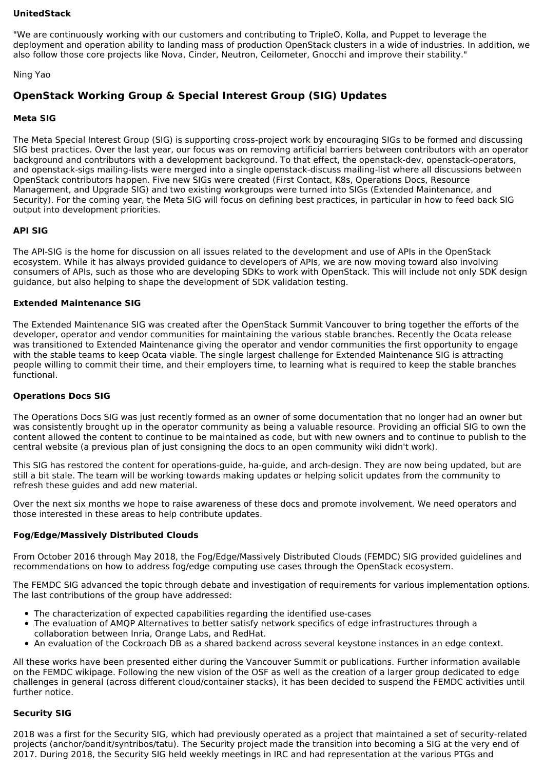#### **UnitedStack**

"We are continuously working with our customers and contributing to TripleO, Kolla, and Puppet to leverage the deployment and operation ability to landing mass of production OpenStack clusters in a wide of industries. In addition, we also follow those core projects like Nova, Cinder, Neutron, Ceilometer, Gnocchi and improve their stability."

Ning Yao

# **OpenStack Working Group & Special Interest Group (SIG) Updates**

# **Meta SIG**

The Meta Special Interest Group (SIG) is supporting cross-project work by encouraging SIGs to be formed and discussing SIG best practices. Over the last year, our focus was on removing artificial barriers between contributors with an operator background and contributors with a development background. To that effect, the openstack-dev, openstack-operators, and openstack-sigs mailing-lists were merged into a single openstack-discuss mailing-list where all discussions between OpenStack contributors happen. Five new SIGs were created (First Contact, K8s, Operations Docs, Resource Management, and Upgrade SIG) and two existing workgroups were turned into SIGs (Extended Maintenance, and Security). For the coming year, the Meta SIG will focus on defining best practices, in particular in how to feed back SIG output into development priorities.

# **API SIG**

The API-SIG is the home for discussion on all issues related to the development and use of APIs in the OpenStack ecosystem. While it has always provided guidance to developers of APIs, we are now moving toward also involving consumers of APIs, such as those who are developing SDKs to work with OpenStack. This will include not only SDK design guidance, but also helping to shape the development of SDK validation testing.

# **Extended Maintenance SIG**

The Extended Maintenance SIG was created after the OpenStack Summit Vancouver to bring together the efforts of the developer, operator and vendor communities for maintaining the various stable branches. Recently the Ocata release was transitioned to Extended Maintenance giving the operator and vendor communities the first opportunity to engage with the stable teams to keep Ocata viable. The single largest challenge for Extended Maintenance SIG is attracting people willing to commit their time, and their employers time, to learning what is required to keep the stable branches functional.

# **Operations Docs SIG**

The Operations Docs SIG was just recently formed as an owner of some documentation that no longer had an owner but was consistently brought up in the operator community as being a valuable resource. Providing an official SIG to own the content allowed the content to continue to be maintained as code, but with new owners and to continue to publish to the central website (a previous plan of just consigning the docs to an open community wiki didn't work).

This SIG has restored the content for operations-guide, ha-guide, and arch-design. They are now being updated, but are still a bit stale. The team will be working towards making updates or helping solicit updates from the community to refresh these guides and add new material.

Over the next six months we hope to raise awareness of these docs and promote involvement. We need operators and those interested in these areas to help contribute updates.

# **Fog/Edge/Massively Distributed Clouds**

From October 2016 through May 2018, the Fog/Edge/Massively Distributed Clouds (FEMDC) SIG provided guidelines and recommendations on how to address fog/edge computing use cases through the OpenStack ecosystem.

The FEMDC SIG advanced the topic through debate and investigation of requirements for various implementation options. The last contributions of the group have addressed:

- The characterization of expected capabilities regarding the identified use-cases
- The evaluation of AMQP Alternatives to better satisfy network specifics of edge infrastructures through a collaboration between Inria, Orange Labs, and RedHat.
- An evaluation of the Cockroach DB as a shared backend across several keystone instances in an edge context.

All these works have been presented either during the Vancouver Summit or publications. Further information available on the FEMDC wikipage. Following the new vision of the OSF as well as the creation of a larger group dedicated to edge challenges in general (across different cloud/container stacks), it has been decided to suspend the FEMDC activities until further notice.

# **Security SIG**

2018 was a first for the Security SIG, which had previously operated as a project that maintained a set of security-related projects (anchor/bandit/syntribos/tatu). The Security project made the transition into becoming a SIG at the very end of 2017. During 2018, the Security SIG held weekly meetings in IRC and had representation at the various PTGs and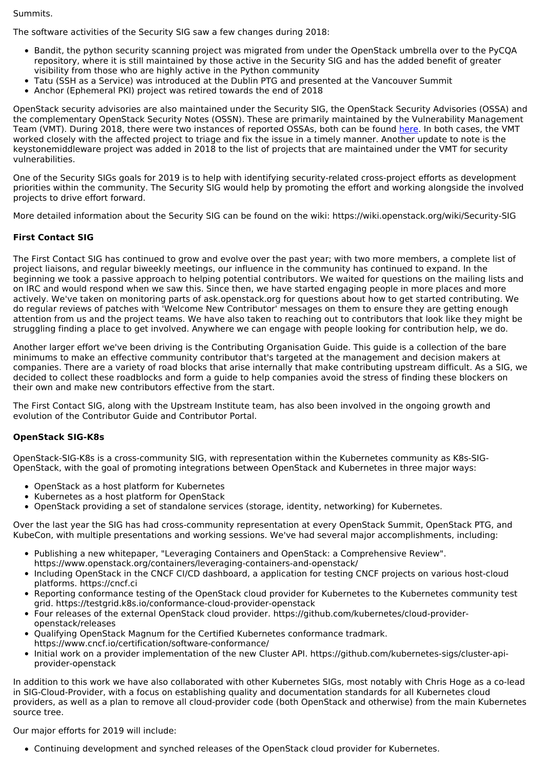Summits.

The software activities of the Security SIG saw a few changes during 2018:

- Bandit, the python security scanning project was migrated from under the OpenStack umbrella over to the PyCQA repository, where it is still maintained by those active in the Security SIG and has the added benefit of greater visibility from those who are highly active in the Python community
- Tatu (SSH as a Service) was introduced at the Dublin PTG and presented at the Vancouver Summit
- Anchor (Ephemeral PKI) project was retired towards the end of 2018

OpenStack security advisories are also maintained under the Security SIG, the OpenStack Security Advisories (OSSA) and the complementary OpenStack Security Notes (OSSN). These are primarily maintained by the Vulnerability Management Team (VMT). During 2018, there were two instances of reported OSSAs, both can be found [here.](https://security.openstack.org/ossalist.html) In both cases, the VMT worked closely with the affected project to triage and fix the issue in a timely manner. Another update to note is the keystonemiddleware project was added in 2018 to the list of projects that are maintained under the VMT for security vulnerabilities.

One of the Security SIGs goals for 2019 is to help with identifying security-related cross-project efforts as development priorities within the community. The Security SIG would help by promoting the effort and working alongside the involved projects to drive effort forward.

More detailed information about the Security SIG can be found on the wiki: https://wiki.openstack.org/wiki/Security-SIG

# **First Contact SIG**

The First Contact SIG has continued to grow and evolve over the past year; with two more members, a complete list of project liaisons, and regular biweekly meetings, our influence in the community has continued to expand. In the beginning we took a passive approach to helping potential contributors. We waited for questions on the mailing lists and on IRC and would respond when we saw this. Since then, we have started engaging people in more places and more actively. We've taken on monitoring parts of ask.openstack.org for questions about how to get started contributing. We do regular reviews of patches with 'Welcome New Contributor' messages on them to ensure they are getting enough attention from us and the project teams. We have also taken to reaching out to contributors that look like they might be struggling finding a place to get involved. Anywhere we can engage with people looking for contribution help, we do.

Another larger effort we've been driving is the Contributing Organisation Guide. This guide is a collection of the bare minimums to make an effective community contributor that's targeted at the management and decision makers at companies. There are a variety of road blocks that arise internally that make contributing upstream difficult. As a SIG, we decided to collect these roadblocks and form a guide to help companies avoid the stress of finding these blockers on their own and make new contributors effective from the start.

The First Contact SIG, along with the Upstream Institute team, has also been involved in the ongoing growth and evolution of the Contributor Guide and Contributor Portal.

# **OpenStack SIG-K8s**

OpenStack-SIG-K8s is a cross-community SIG, with representation within the Kubernetes community as K8s-SIG-OpenStack, with the goal of promoting integrations between OpenStack and Kubernetes in three major ways:

- OpenStack as a host platform for Kubernetes
- Kubernetes as a host platform for OpenStack
- OpenStack providing a set of standalone services (storage, identity, networking) for Kubernetes.

Over the last year the SIG has had cross-community representation at every OpenStack Summit, OpenStack PTG, and KubeCon, with multiple presentations and working sessions. We've had several major accomplishments, including:

- Publishing a new whitepaper, "Leveraging Containers and OpenStack: a Comprehensive Review". https://www.openstack.org/containers/leveraging-containers-and-openstack/
- Including OpenStack in the CNCF CI/CD dashboard, a application for testing CNCF projects on various host-cloud platforms. https://cncf.ci
- Reporting conformance testing of the OpenStack cloud provider for Kubernetes to the Kubernetes community test grid. https://testgrid.k8s.io/conformance-cloud-provider-openstack
- Four releases of the external OpenStack cloud provider. https://github.com/kubernetes/cloud-provideropenstack/releases
- Qualifying OpenStack Magnum for the Certified Kubernetes conformance tradmark. https://www.cncf.io/certification/software-conformance/
- Initial work on a provider implementation of the new Cluster API. https://github.com/kubernetes-sigs/cluster-apiprovider-openstack

In addition to this work we have also collaborated with other Kubernetes SIGs, most notably with Chris Hoge as a co-lead in SIG-Cloud-Provider, with a focus on establishing quality and documentation standards for all Kubernetes cloud providers, as well as a plan to remove all cloud-provider code (both OpenStack and otherwise) from the main Kubernetes source tree.

Our major efforts for 2019 will include:

Continuing development and synched releases of the OpenStack cloud provider for Kubernetes.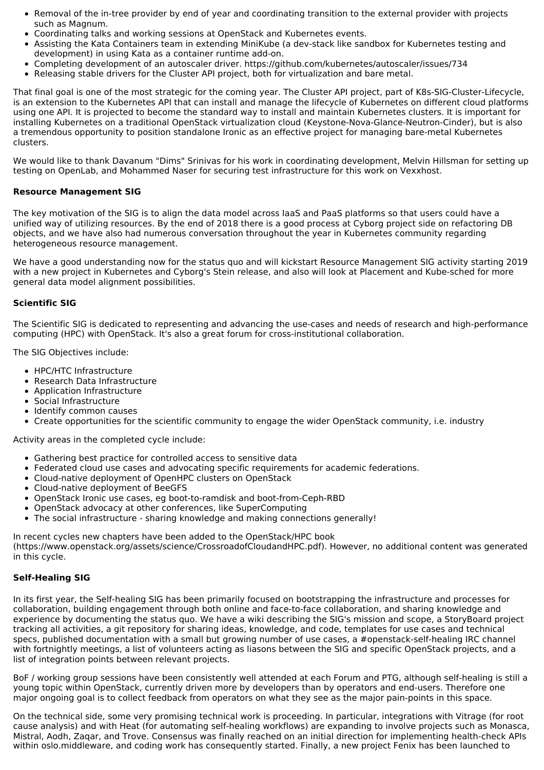- Removal of the in-tree provider by end of year and coordinating transition to the external provider with projects such as Magnum.
- Coordinating talks and working sessions at OpenStack and Kubernetes events.
- Assisting the Kata Containers team in extending MiniKube (a dev-stack like sandbox for Kubernetes testing and development) in using Kata as a container runtime add-on.
- Completing development of an autoscaler driver. https://github.com/kubernetes/autoscaler/issues/734
- Releasing stable drivers for the Cluster API project, both for virtualization and bare metal.

That final goal is one of the most strategic for the coming year. The Cluster API project, part of K8s-SIG-Cluster-Lifecycle, is an extension to the Kubernetes API that can install and manage the lifecycle of Kubernetes on different cloud platforms using one API. It is projected to become the standard way to install and maintain Kubernetes clusters. It is important for installing Kubernetes on a traditional OpenStack virtualization cloud (Keystone-Nova-Glance-Neutron-Cinder), but is also a tremendous opportunity to position standalone Ironic as an effective project for managing bare-metal Kubernetes clusters.

We would like to thank Davanum "Dims" Srinivas for his work in coordinating development, Melvin Hillsman for setting up testing on OpenLab, and Mohammed Naser for securing test infrastructure for this work on Vexxhost.

#### **Resource Management SIG**

The key motivation of the SIG is to align the data model across IaaS and PaaS platforms so that users could have a unified way of utilizing resources. By the end of 2018 there is a good process at Cyborg project side on refactoring DB objects, and we have also had numerous conversation throughout the year in Kubernetes community regarding heterogeneous resource management.

We have a good understanding now for the status quo and will kickstart Resource Management SIG activity starting 2019 with a new project in Kubernetes and Cyborg's Stein release, and also will look at Placement and Kube-sched for more general data model alignment possibilities.

#### **Scientific SIG**

The Scientific SIG is dedicated to representing and advancing the use-cases and needs of research and high-performance computing (HPC) with OpenStack. It's also a great forum for cross-institutional collaboration.

The SIG Objectives include:

- HPC/HTC Infrastructure
- Research Data Infrastructure
- Application Infrastructure
- Social Infrastructure
- Identify common causes
- Create opportunities for the scientific community to engage the wider OpenStack community, i.e. industry

Activity areas in the completed cycle include:

- Gathering best practice for controlled access to sensitive data
- Federated cloud use cases and advocating specific requirements for academic federations.
- Cloud-native deployment of OpenHPC clusters on OpenStack
- Cloud-native deployment of BeeGFS
- OpenStack Ironic use cases, eg boot-to-ramdisk and boot-from-Ceph-RBD
- OpenStack advocacy at other conferences, like SuperComputing
- The social infrastructure sharing knowledge and making connections generally!

In recent cycles new chapters have been added to the OpenStack/HPC book (https://www.openstack.org/assets/science/CrossroadofCloudandHPC.pdf). However, no additional content was generated in this cycle.

#### **Self-Healing SIG**

In its first year, the Self-healing SIG has been primarily focused on bootstrapping the infrastructure and processes for collaboration, building engagement through both online and face-to-face collaboration, and sharing knowledge and experience by documenting the status quo. We have a wiki describing the SIG's mission and scope, a StoryBoard project tracking all activities, a git repository for sharing ideas, knowledge, and code, templates for use cases and technical specs, published documentation with a small but growing number of use cases, a #openstack-self-healing IRC channel with fortnightly meetings, a list of volunteers acting as liasons between the SIG and specific OpenStack projects, and a list of integration points between relevant projects.

BoF / working group sessions have been consistently well attended at each Forum and PTG, although self-healing is still a young topic within OpenStack, currently driven more by developers than by operators and end-users. Therefore one major ongoing goal is to collect feedback from operators on what they see as the major pain-points in this space.

On the technical side, some very promising technical work is proceeding. In particular, integrations with Vitrage (for root cause analysis) and with Heat (for automating self-healing workflows) are expanding to involve projects such as Monasca, Mistral, Aodh, Zaqar, and Trove. Consensus was finally reached on an initial direction for implementing health-check APIs within oslo.middleware, and coding work has consequently started. Finally, a new project Fenix has been launched to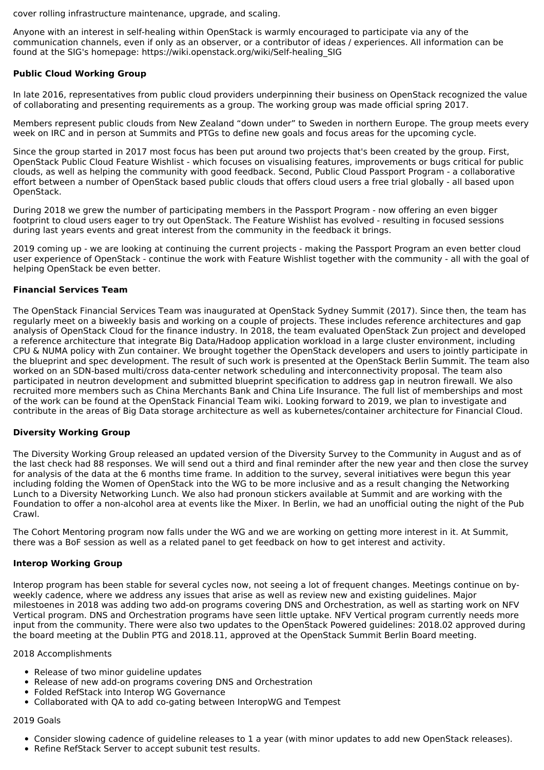cover rolling infrastructure maintenance, upgrade, and scaling.

Anyone with an interest in self-healing within OpenStack is warmly encouraged to participate via any of the communication channels, even if only as an observer, or a contributor of ideas / experiences. All information can be found at the SIG's homepage: https://wiki.openstack.org/wiki/Self-healing\_SIG

# **Public Cloud Working Group**

In late 2016, representatives from public cloud providers underpinning their business on OpenStack recognized the value of collaborating and presenting requirements as a group. The working group was made official spring 2017.

Members represent public clouds from New Zealand "down under" to Sweden in northern Europe. The group meets every week on IRC and in person at Summits and PTGs to define new goals and focus areas for the upcoming cycle.

Since the group started in 2017 most focus has been put around two projects that's been created by the group. First, OpenStack Public Cloud Feature Wishlist - which focuses on visualising features, improvements or bugs critical for public clouds, as well as helping the community with good feedback. Second, Public Cloud Passport Program - a collaborative effort between a number of OpenStack based public clouds that offers cloud users a free trial globally - all based upon OpenStack.

During 2018 we grew the number of participating members in the Passport Program - now offering an even bigger footprint to cloud users eager to try out OpenStack. The Feature Wishlist has evolved - resulting in focused sessions during last years events and great interest from the community in the feedback it brings.

2019 coming up - we are looking at continuing the current projects - making the Passport Program an even better cloud user experience of OpenStack - continue the work with Feature Wishlist together with the community - all with the goal of helping OpenStack be even better.

# **Financial Services Team**

The OpenStack Financial Services Team was inaugurated at OpenStack Sydney Summit (2017). Since then, the team has regularly meet on a biweekly basis and working on a couple of projects. These includes reference architectures and gap analysis of OpenStack Cloud for the finance industry. In 2018, the team evaluated OpenStack Zun project and developed a reference architecture that integrate Big Data/Hadoop application workload in a large cluster environment, including CPU & NUMA policy with Zun container. We brought together the OpenStack developers and users to jointly participate in the blueprint and spec development. The result of such work is presented at the OpenStack Berlin Summit. The team also worked on an SDN-based multi/cross data-center network scheduling and interconnectivity proposal. The team also participated in neutron development and submitted blueprint specification to address gap in neutron firewall. We also recruited more members such as China Merchants Bank and China Life Insurance. The full list of memberships and most of the work can be found at the OpenStack Financial Team wiki. Looking forward to 2019, we plan to investigate and contribute in the areas of Big Data storage architecture as well as kubernetes/container architecture for Financial Cloud.

# **Diversity Working Group**

The Diversity Working Group released an updated version of the Diversity Survey to the Community in August and as of the last check had 88 responses. We will send out a third and final reminder after the new year and then close the survey for analysis of the data at the 6 months time frame. In addition to the survey, several initiatives were begun this year including folding the Women of OpenStack into the WG to be more inclusive and as a result changing the Networking Lunch to a Diversity Networking Lunch. We also had pronoun stickers available at Summit and are working with the Foundation to offer a non-alcohol area at events like the Mixer. In Berlin, we had an unofficial outing the night of the Pub Crawl.

The Cohort Mentoring program now falls under the WG and we are working on getting more interest in it. At Summit, there was a BoF session as well as a related panel to get feedback on how to get interest and activity.

# **Interop Working Group**

Interop program has been stable for several cycles now, not seeing a lot of frequent changes. Meetings continue on byweekly cadence, where we address any issues that arise as well as review new and existing guidelines. Major milestoenes in 2018 was adding two add-on programs covering DNS and Orchestration, as well as starting work on NFV Vertical program. DNS and Orchestration programs have seen little uptake. NFV Vertical program currently needs more input from the community. There were also two updates to the OpenStack Powered guidelines: 2018.02 approved during the board meeting at the Dublin PTG and 2018.11, approved at the OpenStack Summit Berlin Board meeting.

#### 2018 Accomplishments

- Release of two minor quideline updates
- Release of new add-on programs covering DNS and Orchestration
- Folded RefStack into Interop WG Governance
- Collaborated with QA to add co-gating between InteropWG and Tempest

# 2019 Goals

- Consider slowing cadence of guideline releases to 1 a year (with minor updates to add new OpenStack releases).
- Refine RefStack Server to accept subunit test results.